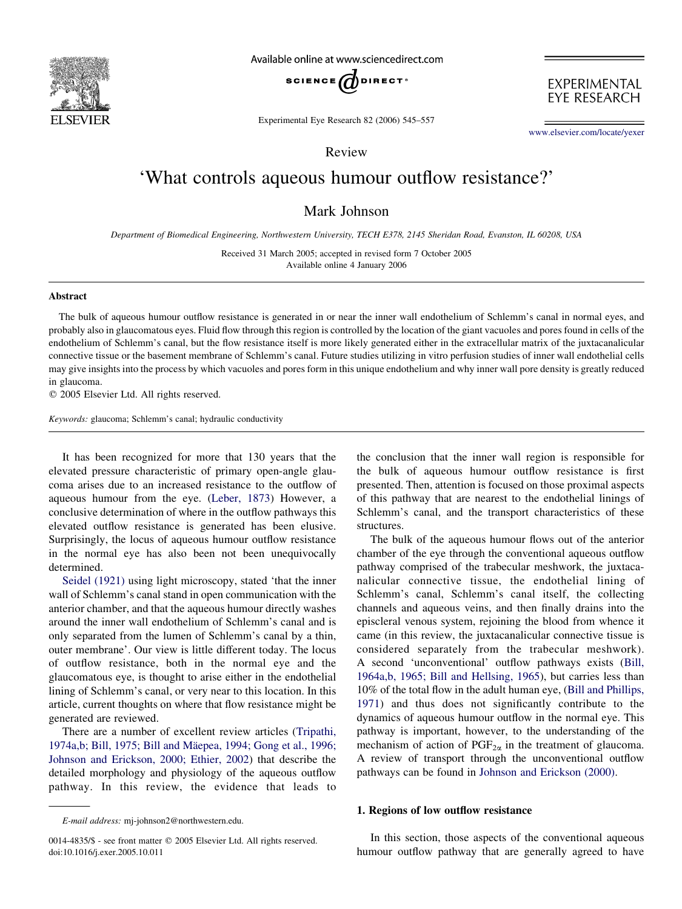

Available online at www.sciencedirect.com



EXPERIMENTAL **EYE RESEARCH** 

Experimental Eye Research 82 (2006) 545–557

[www.elsevier.com/locate/yexer](http://www.elsevier.com/locate/yexer)

Review

# 'What controls aqueous humour outflow resistance?'

Mark Johnson

Department of Biomedical Engineering, Northwestern University, TECH E378, 2145 Sheridan Road, Evanston, IL 60208, USA

Received 31 March 2005; accepted in revised form 7 October 2005 Available online 4 January 2006

#### Abstract

The bulk of aqueous humour outflow resistance is generated in or near the inner wall endothelium of Schlemm's canal in normal eyes, and probably also in glaucomatous eyes. Fluid flow through this region is controlled by the location of the giant vacuoles and pores found in cells of the endothelium of Schlemm's canal, but the flow resistance itself is more likely generated either in the extracellular matrix of the juxtacanalicular connective tissue or the basement membrane of Schlemm's canal. Future studies utilizing in vitro perfusion studies of inner wall endothelial cells may give insights into the process by which vacuoles and pores form in this unique endothelium and why inner wall pore density is greatly reduced in glaucoma.

 $©$  2005 Elsevier Ltd. All rights reserved.

Keywords: glaucoma; Schlemm's canal; hydraulic conductivity

It has been recognized for more that 130 years that the elevated pressure characteristic of primary open-angle glaucoma arises due to an increased resistance to the outflow of aqueous humour from the eye. ([Leber, 1873\)](#page-11-0) However, a conclusive determination of where in the outflow pathways this elevated outflow resistance is generated has been elusive. Surprisingly, the locus of aqueous humour outflow resistance in the normal eye has also been not been unequivocally determined.

[Seidel \(1921\)](#page-12-0) using light microscopy, stated 'that the inner wall of Schlemm's canal stand in open communication with the anterior chamber, and that the aqueous humour directly washes around the inner wall endothelium of Schlemm's canal and is only separated from the lumen of Schlemm's canal by a thin, outer membrane'. Our view is little different today. The locus of outflow resistance, both in the normal eye and the glaucomatous eye, is thought to arise either in the endothelial lining of Schlemm's canal, or very near to this location. In this article, current thoughts on where that flow resistance might be generated are reviewed.

There are a number of excellent review articles ([Tripathi,](#page-12-0) 1974a,b; Bill, 1975; Bill and Mäepea, 1994; Gong et al., 1996; [Johnson and Erickson, 2000; Ethier, 2002](#page-12-0)) that describe the detailed morphology and physiology of the aqueous outflow pathway. In this review, the evidence that leads to

E-mail address: mj-johnson2@northwestern.edu.

the conclusion that the inner wall region is responsible for the bulk of aqueous humour outflow resistance is first presented. Then, attention is focused on those proximal aspects of this pathway that are nearest to the endothelial linings of Schlemm's canal, and the transport characteristics of these structures.

The bulk of the aqueous humour flows out of the anterior chamber of the eye through the conventional aqueous outflow pathway comprised of the trabecular meshwork, the juxtacanalicular connective tissue, the endothelial lining of Schlemm's canal, Schlemm's canal itself, the collecting channels and aqueous veins, and then finally drains into the episcleral venous system, rejoining the blood from whence it came (in this review, the juxtacanalicular connective tissue is considered separately from the trabecular meshwork). A second 'unconventional' outflow pathways exists ([Bill,](#page-10-0) [1964a,b, 1965; Bill and Hellsing, 1965](#page-10-0)), but carries less than 10% of the total flow in the adult human eye, [\(Bill and Phillips,](#page-10-0) [1971\)](#page-10-0) and thus does not significantly contribute to the dynamics of aqueous humour outflow in the normal eye. This pathway is important, however, to the understanding of the mechanism of action of  $PGF_{2\alpha}$  in the treatment of glaucoma. A review of transport through the unconventional outflow pathways can be found in [Johnson and Erickson \(2000\).](#page-11-0)

## 1. Regions of low outflow resistance

In this section, those aspects of the conventional aqueous humour outflow pathway that are generally agreed to have

<sup>0014-4835/\$ -</sup> see front matter © 2005 Elsevier Ltd. All rights reserved. doi:10.1016/j.exer.2005.10.011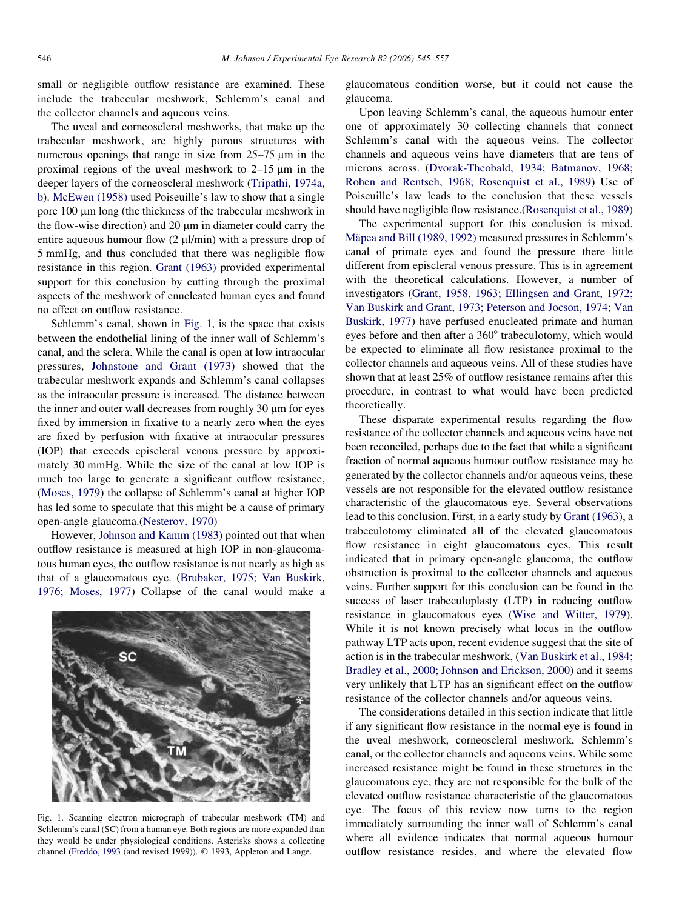<span id="page-1-0"></span>small or negligible outflow resistance are examined. These include the trabecular meshwork, Schlemm's canal and the collector channels and aqueous veins.

The uveal and corneoscleral meshworks, that make up the trabecular meshwork, are highly porous structures with numerous openings that range in size from  $25-75 \mu m$  in the proximal regions of the uveal meshwork to  $2-15$  um in the deeper layers of the corneoscleral meshwork [\(Tripathi, 1974a,](#page-12-0) [b\)](#page-12-0). [McEwen \(1958\)](#page-11-0) used Poiseuille's law to show that a single pore  $100 \mu m$  long (the thickness of the trabecular meshwork in the flow-wise direction) and  $20 \mu m$  in diameter could carry the entire aqueous humour flow  $(2 \mu l/min)$  with a pressure drop of 5 mmHg, and thus concluded that there was negligible flow resistance in this region. [Grant \(1963\)](#page-10-0) provided experimental support for this conclusion by cutting through the proximal aspects of the meshwork of enucleated human eyes and found no effect on outflow resistance.

Schlemm's canal, shown in Fig. 1, is the space that exists between the endothelial lining of the inner wall of Schlemm's canal, and the sclera. While the canal is open at low intraocular pressures, [Johnstone and Grant \(1973\)](#page-11-0) showed that the trabecular meshwork expands and Schlemm's canal collapses as the intraocular pressure is increased. The distance between the inner and outer wall decreases from roughly 30 um for eyes fixed by immersion in fixative to a nearly zero when the eyes are fixed by perfusion with fixative at intraocular pressures (IOP) that exceeds episcleral venous pressure by approximately 30 mmHg. While the size of the canal at low IOP is much too large to generate a significant outflow resistance, [\(Moses, 1979\)](#page-11-0) the collapse of Schlemm's canal at higher IOP has led some to speculate that this might be a cause of primary open-angle glaucoma.[\(Nesterov, 1970\)](#page-11-0)

However, [Johnson and Kamm \(1983\)](#page-11-0) pointed out that when outflow resistance is measured at high IOP in non-glaucomatous human eyes, the outflow resistance is not nearly as high as that of a glaucomatous eye. ([Brubaker, 1975; Van Buskirk,](#page-10-0) [1976; Moses, 1977\)](#page-10-0) Collapse of the canal would make a



Fig. 1. Scanning electron micrograph of trabecular meshwork (TM) and Schlemm's canal (SC) from a human eye. Both regions are more expanded than they would be under physiological conditions. Asterisks shows a collecting channel ([Freddo, 1993](#page-10-0) (and revised 1999)).  $©$  1993, Appleton and Lange.

glaucomatous condition worse, but it could not cause the glaucoma.

Upon leaving Schlemm's canal, the aqueous humour enter one of approximately 30 collecting channels that connect Schlemm's canal with the aqueous veins. The collector channels and aqueous veins have diameters that are tens of microns across. ([Dvorak-Theobald, 1934; Batmanov, 1968;](#page-10-0) [Rohen and Rentsch, 1968; Rosenquist et al., 1989](#page-10-0)) Use of Poiseuille's law leads to the conclusion that these vessels should have negligible flow resistance.([Rosenquist et al., 1989](#page-12-0))

The experimental support for this conclusion is mixed. Mäpea and Bill (1989, 1992) measured pressures in Schlemm's canal of primate eyes and found the pressure there little different from episcleral venous pressure. This is in agreement with the theoretical calculations. However, a number of investigators ([Grant, 1958, 1963; Ellingsen and Grant, 1972;](#page-10-0) [Van Buskirk and Grant, 1973; Peterson and Jocson, 1974; Van](#page-10-0) [Buskirk, 1977](#page-10-0)) have perfused enucleated primate and human eyes before and then after a 360° trabeculotomy, which would be expected to eliminate all flow resistance proximal to the collector channels and aqueous veins. All of these studies have shown that at least 25% of outflow resistance remains after this procedure, in contrast to what would have been predicted theoretically.

These disparate experimental results regarding the flow resistance of the collector channels and aqueous veins have not been reconciled, perhaps due to the fact that while a significant fraction of normal aqueous humour outflow resistance may be generated by the collector channels and/or aqueous veins, these vessels are not responsible for the elevated outflow resistance characteristic of the glaucomatous eye. Several observations lead to this conclusion. First, in a early study by [Grant \(1963\),](#page-10-0) a trabeculotomy eliminated all of the elevated glaucomatous flow resistance in eight glaucomatous eyes. This result indicated that in primary open-angle glaucoma, the outflow obstruction is proximal to the collector channels and aqueous veins. Further support for this conclusion can be found in the success of laser trabeculoplasty (LTP) in reducing outflow resistance in glaucomatous eyes [\(Wise and Witter, 1979\)](#page-12-0). While it is not known precisely what locus in the outflow pathway LTP acts upon, recent evidence suggest that the site of action is in the trabecular meshwork, ([Van Buskirk et al., 1984;](#page-12-0) [Bradley et al., 2000; Johnson and Erickson, 2000\)](#page-12-0) and it seems very unlikely that LTP has an significant effect on the outflow resistance of the collector channels and/or aqueous veins.

The considerations detailed in this section indicate that little if any significant flow resistance in the normal eye is found in the uveal meshwork, corneoscleral meshwork, Schlemm's canal, or the collector channels and aqueous veins. While some increased resistance might be found in these structures in the glaucomatous eye, they are not responsible for the bulk of the elevated outflow resistance characteristic of the glaucomatous eye. The focus of this review now turns to the region immediately surrounding the inner wall of Schlemm's canal where all evidence indicates that normal aqueous humour outflow resistance resides, and where the elevated flow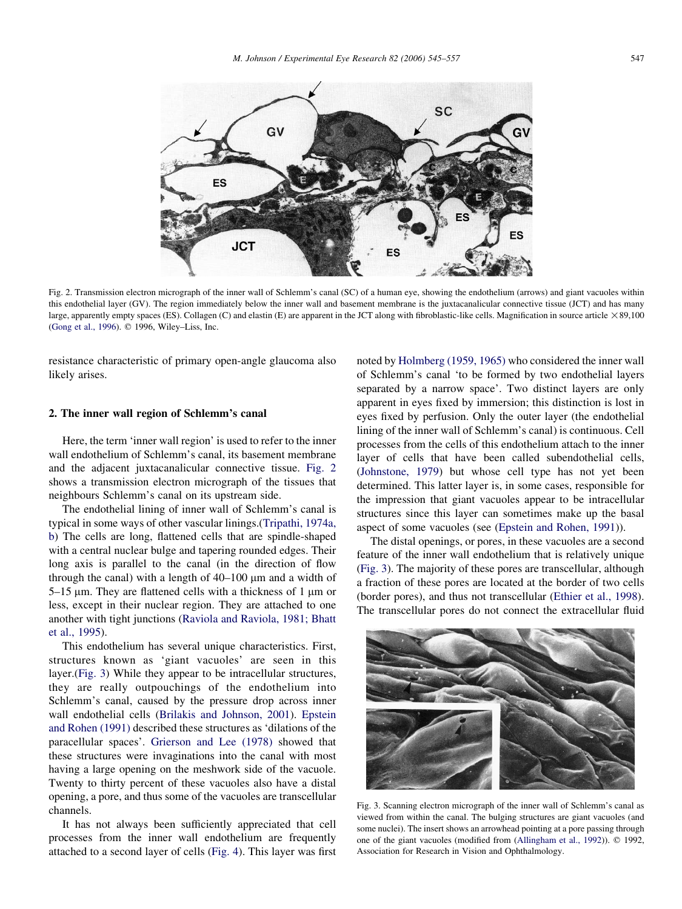<span id="page-2-0"></span>

Fig. 2. Transmission electron micrograph of the inner wall of Schlemm's canal (SC) of a human eye, showing the endothelium (arrows) and giant vacuoles within this endothelial layer (GV). The region immediately below the inner wall and basement membrane is the juxtacanalicular connective tissue (JCT) and has many large, apparently empty spaces (ES). Collagen (C) and elastin (E) are apparent in the JCT along with fibroblastic-like cells. Magnification in source article  $\times 89,100$ [\(Gong et al., 1996](#page-10-0)). © 1996, Wiley–Liss, Inc.

resistance characteristic of primary open-angle glaucoma also likely arises.

## 2. The inner wall region of Schlemm's canal

Here, the term 'inner wall region' is used to refer to the inner wall endothelium of Schlemm's canal, its basement membrane and the adjacent juxtacanalicular connective tissue. Fig. 2 shows a transmission electron micrograph of the tissues that neighbours Schlemm's canal on its upstream side.

The endothelial lining of inner wall of Schlemm's canal is typical in some ways of other vascular linings.([Tripathi, 1974a,](#page-12-0) [b\)](#page-12-0) The cells are long, flattened cells that are spindle-shaped with a central nuclear bulge and tapering rounded edges. Their long axis is parallel to the canal (in the direction of flow through the canal) with a length of  $40-100 \mu m$  and a width of  $5-15$  µm. They are flattened cells with a thickness of 1 µm or less, except in their nuclear region. They are attached to one another with tight junctions [\(Raviola and Raviola, 1981; Bhatt](#page-12-0) [et al., 1995\)](#page-12-0).

This endothelium has several unique characteristics. First, structures known as 'giant vacuoles' are seen in this layer.(Fig. 3) While they appear to be intracellular structures, they are really outpouchings of the endothelium into Schlemm's canal, caused by the pressure drop across inner wall endothelial cells [\(Brilakis and Johnson, 2001](#page-10-0)). [Epstein](#page-10-0) [and Rohen \(1991\)](#page-10-0) described these structures as 'dilations of the paracellular spaces'. [Grierson and Lee \(1978\)](#page-10-0) showed that these structures were invaginations into the canal with most having a large opening on the meshwork side of the vacuole. Twenty to thirty percent of these vacuoles also have a distal opening, a pore, and thus some of the vacuoles are transcellular channels.

It has not always been sufficiently appreciated that cell processes from the inner wall endothelium are frequently attached to a second layer of cells ([Fig. 4](#page-3-0)). This layer was first noted by [Holmberg \(1959, 1965\)](#page-11-0) who considered the inner wall of Schlemm's canal 'to be formed by two endothelial layers separated by a narrow space'. Two distinct layers are only apparent in eyes fixed by immersion; this distinction is lost in eyes fixed by perfusion. Only the outer layer (the endothelial lining of the inner wall of Schlemm's canal) is continuous. Cell processes from the cells of this endothelium attach to the inner layer of cells that have been called subendothelial cells, ([Johnstone, 1979](#page-11-0)) but whose cell type has not yet been determined. This latter layer is, in some cases, responsible for the impression that giant vacuoles appear to be intracellular structures since this layer can sometimes make up the basal aspect of some vacuoles (see [\(Epstein and Rohen, 1991](#page-10-0))).

The distal openings, or pores, in these vacuoles are a second feature of the inner wall endothelium that is relatively unique (Fig. 3). The majority of these pores are transcellular, although a fraction of these pores are located at the border of two cells (border pores), and thus not transcellular ([Ethier et al., 1998\)](#page-10-0). The transcellular pores do not connect the extracellular fluid



Fig. 3. Scanning electron micrograph of the inner wall of Schlemm's canal as viewed from within the canal. The bulging structures are giant vacuoles (and some nuclei). The insert shows an arrowhead pointing at a pore passing through one of the giant vacuoles (modified from ([Allingham et al., 1992](#page-10-0))). © 1992, Association for Research in Vision and Ophthalmology.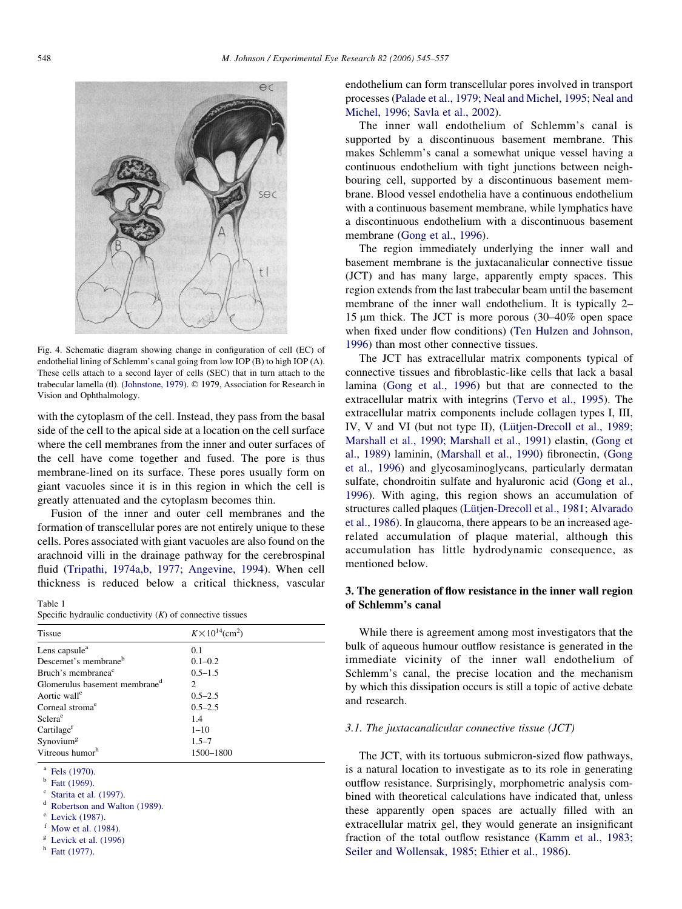<span id="page-3-0"></span>

Fig. 4. Schematic diagram showing change in configuration of cell (EC) of endothelial lining of Schlemm's canal going from low IOP (B) to high IOP (A). These cells attach to a second layer of cells (SEC) that in turn attach to the trabecular lamella (tl). ([Johnstone, 1979](#page-11-0)).  $© 1979$ , Association for Research in Vision and Ophthalmology.

with the cytoplasm of the cell. Instead, they pass from the basal side of the cell to the apical side at a location on the cell surface where the cell membranes from the inner and outer surfaces of the cell have come together and fused. The pore is thus membrane-lined on its surface. These pores usually form on giant vacuoles since it is in this region in which the cell is greatly attenuated and the cytoplasm becomes thin.

Fusion of the inner and outer cell membranes and the formation of transcellular pores are not entirely unique to these cells. Pores associated with giant vacuoles are also found on the arachnoid villi in the drainage pathway for the cerebrospinal fluid ([Tripathi, 1974a,b, 1977; Angevine, 1994](#page-12-0)). When cell thickness is reduced below a critical thickness, vascular

Table 1

| Specific hydraulic conductivity $(K)$ of connective tissues |  |
|-------------------------------------------------------------|--|
|-------------------------------------------------------------|--|

| <b>Tissue</b>                             | $K \times 10^{14}$ (cm <sup>2</sup> ) |
|-------------------------------------------|---------------------------------------|
| Lens capsule <sup>a</sup>                 | 0.1                                   |
| Descemet's membrane <sup>b</sup>          | $0.1 - 0.2$                           |
| Bruch's membranea <sup>c</sup>            | $0.5 - 1.5$                           |
| Glomerulus basement membrane <sup>d</sup> | $\mathcal{D}_{\mathcal{L}}$           |
| Aortic wall <sup>e</sup>                  | $0.5 - 2.5$                           |
| Corneal stroma <sup>e</sup>               | $0.5 - 2.5$                           |
| Sclera <sup>e</sup>                       | 1.4                                   |
| Cartilage <sup>f</sup>                    | $1 - 10$                              |
| $S$ ynovium <sup>g</sup>                  | $1.5 - 7$                             |
| Vitreous humor <sup>h</sup>               | 1500-1800                             |

[Fels \(1970\)](#page-10-0).<br>[Fatt \(1969\).](#page-10-0)<br>[Starita et al. \(1997\)](#page-12-0).

d [Robertson and Walton \(1989\).](#page-12-0)<br>
<sup>e</sup> [Levick \(1987\)](#page-11-0).<br>
<sup>f</sup> [Mow et al. \(1984\)](#page-11-0).<br>
<sup>g</sup> [Levick et al. \(1996\)](#page-11-0)

- 
- 
- <sup>h</sup> [Fatt \(1977\).](#page-10-0)

endothelium can form transcellular pores involved in transport processes [\(Palade et al., 1979; Neal and Michel, 1995; Neal and](#page-11-0) [Michel, 1996; Savla et al., 2002](#page-11-0)).

The inner wall endothelium of Schlemm's canal is supported by a discontinuous basement membrane. This makes Schlemm's canal a somewhat unique vessel having a continuous endothelium with tight junctions between neighbouring cell, supported by a discontinuous basement membrane. Blood vessel endothelia have a continuous endothelium with a continuous basement membrane, while lymphatics have a discontinuous endothelium with a discontinuous basement membrane [\(Gong et al., 1996\)](#page-10-0).

The region immediately underlying the inner wall and basement membrane is the juxtacanalicular connective tissue (JCT) and has many large, apparently empty spaces. This region extends from the last trabecular beam until the basement membrane of the inner wall endothelium. It is typically 2– 15  $\mu$ m thick. The JCT is more porous (30–40% open space when fixed under flow conditions) ([Ten Hulzen and Johnson,](#page-12-0) [1996\)](#page-12-0) than most other connective tissues.

The JCT has extracellular matrix components typical of connective tissues and fibroblastic-like cells that lack a basal lamina ([Gong et al., 1996\)](#page-10-0) but that are connected to the extracellular matrix with integrins [\(Tervo et al., 1995](#page-12-0)). The extracellular matrix components include collagen types I, III, IV, V and VI (but not type II), (Lütjen-Drecoll et al., 1989; [Marshall et al., 1990; Marshall et al., 1991\)](#page-11-0) elastin, ([Gong et](#page-10-0) [al., 1989\)](#page-10-0) laminin, ([Marshall et al., 1990\)](#page-11-0) fibronectin, ([Gong](#page-10-0) [et al., 1996\)](#page-10-0) and glycosaminoglycans, particularly dermatan sulfate, chondroitin sulfate and hyaluronic acid ([Gong et al.,](#page-10-0) [1996\)](#page-10-0). With aging, this region shows an accumulation of structures called plaques (Lütjen-Drecoll et al., 1981; Alvarado [et al., 1986](#page-11-0)). In glaucoma, there appears to be an increased agerelated accumulation of plaque material, although this accumulation has little hydrodynamic consequence, as mentioned below.

# 3. The generation of flow resistance in the inner wall region of Schlemm's canal

While there is agreement among most investigators that the bulk of aqueous humour outflow resistance is generated in the immediate vicinity of the inner wall endothelium of Schlemm's canal, the precise location and the mechanism by which this dissipation occurs is still a topic of active debate and research.

## 3.1. The juxtacanalicular connective tissue (JCT)

The JCT, with its tortuous submicron-sized flow pathways, is a natural location to investigate as to its role in generating outflow resistance. Surprisingly, morphometric analysis combined with theoretical calculations have indicated that, unless these apparently open spaces are actually filled with an extracellular matrix gel, they would generate an insignificant fraction of the total outflow resistance [\(Kamm et al., 1983;](#page-11-0) [Seiler and Wollensak, 1985; Ethier et al., 1986\)](#page-11-0).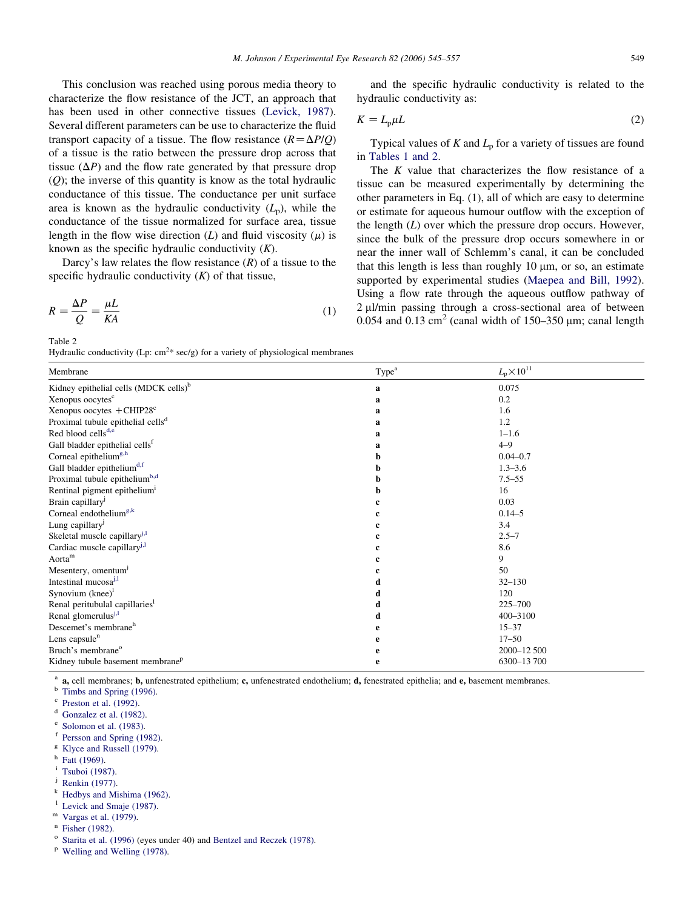<span id="page-4-0"></span>This conclusion was reached using porous media theory to characterize the flow resistance of the JCT, an approach that has been used in other connective tissues [\(Levick, 1987\)](#page-11-0). Several different parameters can be use to characterize the fluid transport capacity of a tissue. The flow resistance  $(R = \Delta P/Q)$ of a tissue is the ratio between the pressure drop across that tissue  $(\Delta P)$  and the flow rate generated by that pressure drop  $(Q)$ ; the inverse of this quantity is know as the total hydraulic conductance of this tissue. The conductance per unit surface area is known as the hydraulic conductivity  $(L_n)$ , while the conductance of the tissue normalized for surface area, tissue length in the flow wise direction (L) and fluid viscosity ( $\mu$ ) is known as the specific hydraulic conductivity  $(K)$ .

Darcy's law relates the flow resistance  $(R)$  of a tissue to the specific hydraulic conductivity  $(K)$  of that tissue,

$$
R = \frac{\Delta P}{Q} = \frac{\mu L}{K A} \tag{1}
$$

Table 2

and the specific hydraulic conductivity is related to the hydraulic conductivity as:

$$
K = L_{\rm p} \mu L \tag{2}
$$

Typical values of  $K$  and  $L_p$  for a variety of tissues are found in [Tables 1 and 2](#page-3-0).

The  $K$  value that characterizes the flow resistance of a tissue can be measured experimentally by determining the other parameters in Eq. (1), all of which are easy to determine or estimate for aqueous humour outflow with the exception of the length  $(L)$  over which the pressure drop occurs. However, since the bulk of the pressure drop occurs somewhere in or near the inner wall of Schlemm's canal, it can be concluded that this length is less than roughly 10 um, or so, an estimate supported by experimental studies ([Maepea and Bill, 1992\)](#page-11-0). Using a flow rate through the aqueous outflow pathway of  $2 \mu$ l/min passing through a cross-sectional area of between 0.054 and 0.13  $\text{cm}^2$  (canal width of 150–350  $\mu$ m; canal length

| rry and the conductivity (Ep. cm $\sec(g)$ for a variety of physiological inclinitiaties |                   |                              |  |  |
|------------------------------------------------------------------------------------------|-------------------|------------------------------|--|--|
| Membrane                                                                                 | Type <sup>a</sup> | $L_{\rm p}$ $\times 10^{11}$ |  |  |
| Kidney epithelial cells (MDCK cells) <sup>b</sup>                                        | a                 | 0.075                        |  |  |
| Xenopus oocytes <sup>c</sup>                                                             | a                 | 0.2                          |  |  |
| Xenopus oocytes $+$ CHIP28 $^{\circ}$                                                    | a                 | 1.6                          |  |  |
| Proximal tubule epithelial cells <sup>d</sup>                                            | a                 | 1.2                          |  |  |
| Red blood cells <sup>d,e</sup>                                                           | a                 | $1 - 1.6$                    |  |  |
| Gall bladder epithelial cells <sup>f</sup>                                               | a                 | $4 - 9$                      |  |  |
| Corneal epithelium <sup>g,h</sup>                                                        | h                 | $0.04 - 0.7$                 |  |  |
| Gall bladder epithelium <sup>d,f</sup>                                                   | b                 | $1.3 - 3.6$                  |  |  |
| Proximal tubule epithelium <sup>b,d</sup>                                                | h                 | $7.5 - 55$                   |  |  |
| Rentinal pigment epithelium <sup>1</sup>                                                 | h                 | 16                           |  |  |
| Brain capillary <sup>J</sup>                                                             | c                 | 0.03                         |  |  |
| Corneal endothelium <sup>g,k</sup>                                                       |                   | $0.14 - 5$                   |  |  |
| Lung capillary <sup>j</sup>                                                              | c                 | 3.4                          |  |  |
| Skeletal muscle capillary <sup>1,1</sup>                                                 | c                 | $2.5 - 7$                    |  |  |
| Cardiac muscle capillary <sup>j,1</sup>                                                  |                   | 8.6                          |  |  |
| Aorta <sup>m</sup>                                                                       |                   | 9                            |  |  |
| Mesentery, omentum <sup>j</sup>                                                          |                   | 50                           |  |  |
| Intestinal mucosa <sup>j,1</sup>                                                         | d                 | $32 - 130$                   |  |  |
| Synovium $(knee)^1$                                                                      | d                 | 120                          |  |  |
| Renal peritubulal capillaries <sup>1</sup>                                               | d                 | $225 - 700$                  |  |  |
| Renal glomerulus <sup>j,1</sup>                                                          | d                 | 400-3100                     |  |  |
| Descemet's membrane <sup>h</sup>                                                         | е                 | $15 - 37$                    |  |  |
| Lens capsule <sup>n</sup>                                                                | е                 | $17 - 50$                    |  |  |
| Bruch's membrane <sup>o</sup>                                                            | е                 | 2000-12 500                  |  |  |
| Kidney tubule basement membrane <sup>p</sup>                                             | e                 | 6300-13700                   |  |  |

<sup>a</sup> **a**, cell membranes; **b**, unfenestrated epithelium; **c**, unfenestrated endothelium; **d**, fenestrated epithelia; and **e**, basement membranes.<br>
<sup>b</sup> [Timbs and Spring \(1996\).](#page-12-0)<br>
<sup>c</sup> [Preston et al. \(1992\)](#page-11-0).<br>
<sup>d</sup> Gonzalez et a

- 
- 

- 
- 
- <sup>i</sup> [Tsuboi \(1987\)](#page-12-0).<br><sup>j</sup> [Renkin \(1977\)](#page-12-0).<br><sup>k</sup> [Hedbys and Mishima \(1962\).](#page-11-0)
- 
- 
- 

<sup>1</sup> [Levick and Smaje \(1987\)](#page-11-0).<br><sup>m</sup> [Vargas et al. \(1979\).](#page-12-0)<br><sup>n</sup> [Fisher \(1982\).](#page-10-0)<br><sup>o</sup> [Starita et al. \(1996\)](#page-12-0) (eves under 40) and [Bentzel and Reczek \(1978\)](#page-10-0).

<sup>p</sup> [Welling and Welling \(1978\).](#page-12-0)

Hydraulic conductivity (Lp:  $cm^{2*}$  sec/g) for a variety of physiological membranes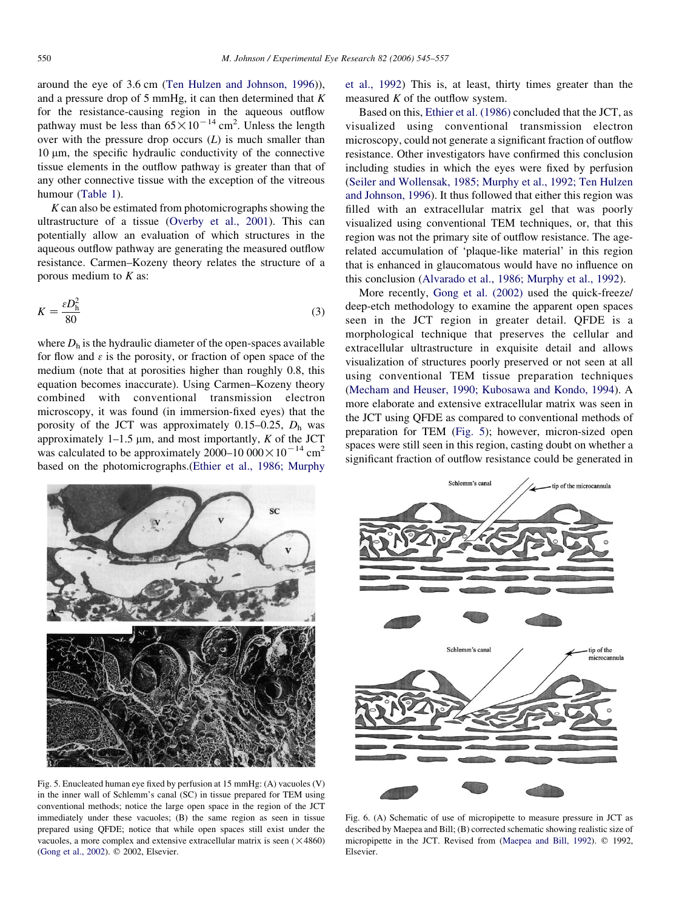<span id="page-5-0"></span>around the eye of 3.6 cm ([Ten Hulzen and Johnson, 1996\)](#page-12-0)), and a pressure drop of 5 mmHg, it can then determined that  $K$ for the resistance-causing region in the aqueous outflow pathway must be less than  $65 \times 10^{-14}$  cm<sup>2</sup>. Unless the length over with the pressure drop occurs  $(L)$  is much smaller than  $10 \mu m$ , the specific hydraulic conductivity of the connective tissue elements in the outflow pathway is greater than that of any other connective tissue with the exception of the vitreous humour ([Table 1\)](#page-3-0).

 $K$  can also be estimated from photomicrographs showing the ultrastructure of a tissue ([Overby et al., 2001\)](#page-11-0). This can potentially allow an evaluation of which structures in the aqueous outflow pathway are generating the measured outflow resistance. Carmen–Kozeny theory relates the structure of a porous medium to  $K$  as:

$$
K = \frac{\varepsilon D_h^2}{80} \tag{3}
$$

where  $D<sub>h</sub>$  is the hydraulic diameter of the open-spaces available for flow and  $\epsilon$  is the porosity, or fraction of open space of the medium (note that at porosities higher than roughly 0.8, this equation becomes inaccurate). Using Carmen–Kozeny theory combined with conventional transmission electron microscopy, it was found (in immersion-fixed eyes) that the porosity of the JCT was approximately 0.15–0.25,  $D_h$  was approximately  $1-1.5 \mu m$ , and most importantly, K of the JCT was calculated to be approximately  $2000-10000 \times 10^{-14}$  cm<sup>2</sup> based on the photomicrographs.([Ethier et al., 1986; Murphy](#page-10-0)

[et al., 1992\)](#page-10-0) This is, at least, thirty times greater than the measured  $K$  of the outflow system.

Based on this, [Ethier et al. \(1986\)](#page-10-0) concluded that the JCT, as visualized using conventional transmission electron microscopy, could not generate a significant fraction of outflow resistance. Other investigators have confirmed this conclusion including studies in which the eyes were fixed by perfusion [\(Seiler and Wollensak, 1985; Murphy et al., 1992; Ten Hulzen](#page-12-0) [and Johnson, 1996](#page-12-0)). It thus followed that either this region was filled with an extracellular matrix gel that was poorly visualized using conventional TEM techniques, or, that this region was not the primary site of outflow resistance. The agerelated accumulation of 'plaque-like material' in this region that is enhanced in glaucomatous would have no influence on this conclusion ([Alvarado et al., 1986; Murphy et al., 1992\)](#page-10-0).

More recently, [Gong et al. \(2002\)](#page-10-0) used the quick-freeze/ deep-etch methodology to examine the apparent open spaces seen in the JCT region in greater detail. QFDE is a morphological technique that preserves the cellular and extracellular ultrastructure in exquisite detail and allows visualization of structures poorly preserved or not seen at all using conventional TEM tissue preparation techniques [\(Mecham and Heuser, 1990; Kubosawa and Kondo, 1994\)](#page-11-0). A more elaborate and extensive extracellular matrix was seen in the JCT using QFDE as compared to conventional methods of preparation for TEM (Fig. 5); however, micron-sized open spaces were still seen in this region, casting doubt on whether a significant fraction of outflow resistance could be generated in



Fig. 5. Enucleated human eye fixed by perfusion at 15 mmHg: (A) vacuoles (V) in the inner wall of Schlemm's canal (SC) in tissue prepared for TEM using conventional methods; notice the large open space in the region of the JCT immediately under these vacuoles; (B) the same region as seen in tissue prepared using QFDE; notice that while open spaces still exist under the vacuoles, a more complex and extensive extracellular matrix is seen  $(\times 4860)$ [\(Gong et al., 2002\)](#page-10-0). © 2002, Elsevier.



Fig. 6. (A) Schematic of use of micropipette to measure pressure in JCT as described by Maepea and Bill; (B) corrected schematic showing realistic size of micropipette in the JCT. Revised from ([Maepea and Bill, 1992](#page-11-0)). © 1992, Elsevier.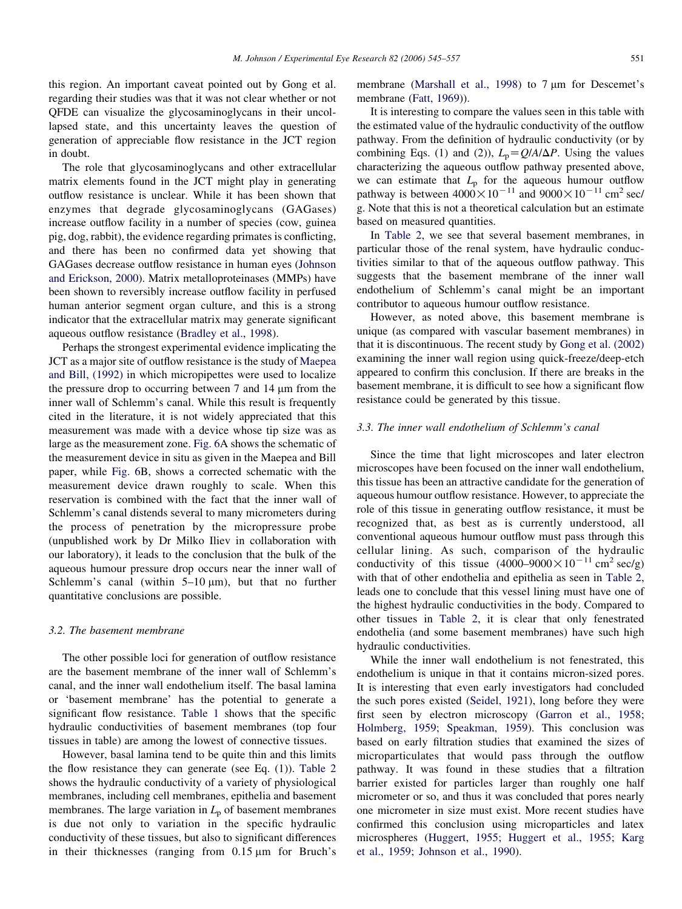this region. An important caveat pointed out by Gong et al. regarding their studies was that it was not clear whether or not QFDE can visualize the glycosaminoglycans in their uncollapsed state, and this uncertainty leaves the question of generation of appreciable flow resistance in the JCT region in doubt.

The role that glycosaminoglycans and other extracellular matrix elements found in the JCT might play in generating outflow resistance is unclear. While it has been shown that enzymes that degrade glycosaminoglycans (GAGases) increase outflow facility in a number of species (cow, guinea pig, dog, rabbit), the evidence regarding primates is conflicting, and there has been no confirmed data yet showing that GAGases decrease outflow resistance in human eyes ([Johnson](#page-11-0) [and Erickson, 2000\)](#page-11-0). Matrix metalloproteinases (MMPs) have been shown to reversibly increase outflow facility in perfused human anterior segment organ culture, and this is a strong indicator that the extracellular matrix may generate significant aqueous outflow resistance ([Bradley et al., 1998\)](#page-10-0).

Perhaps the strongest experimental evidence implicating the JCT as a major site of outflow resistance is the study of [Maepea](#page-11-0) [and Bill, \(1992\)](#page-11-0) in which micropipettes were used to localize the pressure drop to occurring between  $7$  and  $14 \mu m$  from the inner wall of Schlemm's canal. While this result is frequently cited in the literature, it is not widely appreciated that this measurement was made with a device whose tip size was as large as the measurement zone. [Fig. 6](#page-5-0)A shows the schematic of the measurement device in situ as given in the Maepea and Bill paper, while [Fig. 6B](#page-5-0), shows a corrected schematic with the measurement device drawn roughly to scale. When this reservation is combined with the fact that the inner wall of Schlemm's canal distends several to many micrometers during the process of penetration by the micropressure probe (unpublished work by Dr Milko Iliev in collaboration with our laboratory), it leads to the conclusion that the bulk of the aqueous humour pressure drop occurs near the inner wall of Schlemm's canal (within  $5-10 \mu m$ ), but that no further quantitative conclusions are possible.

#### 3.2. The basement membrane

The other possible loci for generation of outflow resistance are the basement membrane of the inner wall of Schlemm's canal, and the inner wall endothelium itself. The basal lamina or 'basement membrane' has the potential to generate a significant flow resistance. [Table 1](#page-3-0) shows that the specific hydraulic conductivities of basement membranes (top four tissues in table) are among the lowest of connective tissues.

However, basal lamina tend to be quite thin and this limits the flow resistance they can generate (see Eq. (1)). [Table 2](#page-4-0) shows the hydraulic conductivity of a variety of physiological membranes, including cell membranes, epithelia and basement membranes. The large variation in  $L_p$  of basement membranes is due not only to variation in the specific hydraulic conductivity of these tissues, but also to significant differences in their thicknesses (ranging from  $0.15 \mu m$  for Bruch's

membrane [\(Marshall et al., 1998](#page-11-0)) to  $7 \mu m$  for Descemet's membrane [\(Fatt, 1969](#page-10-0))).

It is interesting to compare the values seen in this table with the estimated value of the hydraulic conductivity of the outflow pathway. From the definition of hydraulic conductivity (or by combining Eqs. (1) and (2)),  $L_p = Q/A/\Delta P$ . Using the values characterizing the aqueous outflow pathway presented above, we can estimate that  $L_p$  for the aqueous humour outflow pathway is between  $4000 \times 10^{-11}$  and  $9000 \times 10^{-11}$  cm<sup>2</sup> sec/ g. Note that this is not a theoretical calculation but an estimate based on measured quantities.

In [Table 2](#page-4-0), we see that several basement membranes, in particular those of the renal system, have hydraulic conductivities similar to that of the aqueous outflow pathway. This suggests that the basement membrane of the inner wall endothelium of Schlemm's canal might be an important contributor to aqueous humour outflow resistance.

However, as noted above, this basement membrane is unique (as compared with vascular basement membranes) in that it is discontinuous. The recent study by [Gong et al. \(2002\)](#page-10-0) examining the inner wall region using quick-freeze/deep-etch appeared to confirm this conclusion. If there are breaks in the basement membrane, it is difficult to see how a significant flow resistance could be generated by this tissue.

### 3.3. The inner wall endothelium of Schlemm's canal

Since the time that light microscopes and later electron microscopes have been focused on the inner wall endothelium, this tissue has been an attractive candidate for the generation of aqueous humour outflow resistance. However, to appreciate the role of this tissue in generating outflow resistance, it must be recognized that, as best as is currently understood, all conventional aqueous humour outflow must pass through this cellular lining. As such, comparison of the hydraulic conductivity of this tissue  $(4000-9000 \times 10^{-11} \text{ cm}^2 \text{ sec/g})$ with that of other endothelia and epithelia as seen in [Table 2](#page-4-0), leads one to conclude that this vessel lining must have one of the highest hydraulic conductivities in the body. Compared to other tissues in [Table 2](#page-4-0), it is clear that only fenestrated endothelia (and some basement membranes) have such high hydraulic conductivities.

While the inner wall endothelium is not fenestrated, this endothelium is unique in that it contains micron-sized pores. It is interesting that even early investigators had concluded the such pores existed [\(Seidel, 1921\)](#page-12-0), long before they were first seen by electron microscopy [\(Garron et al., 1958;](#page-10-0) [Holmberg, 1959; Speakman, 1959\)](#page-10-0). This conclusion was based on early filtration studies that examined the sizes of microparticulates that would pass through the outflow pathway. It was found in these studies that a filtration barrier existed for particles larger than roughly one half micrometer or so, and thus it was concluded that pores nearly one micrometer in size must exist. More recent studies have confirmed this conclusion using microparticles and latex microspheres [\(Huggert, 1955; Huggert et al., 1955; Karg](#page-11-0) [et al., 1959; Johnson et al., 1990\)](#page-11-0).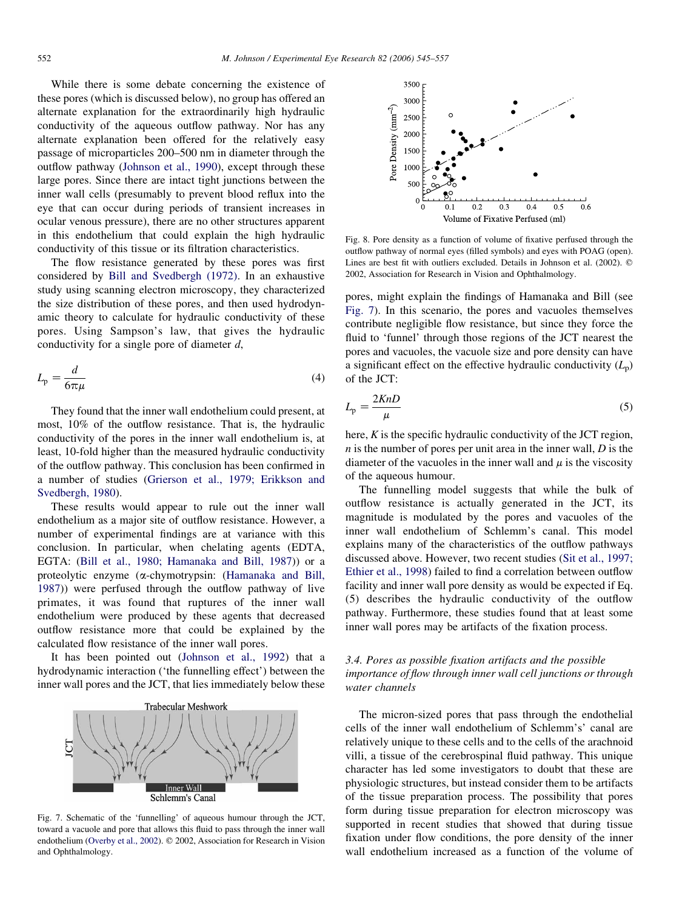<span id="page-7-0"></span>While there is some debate concerning the existence of these pores (which is discussed below), no group has offered an alternate explanation for the extraordinarily high hydraulic conductivity of the aqueous outflow pathway. Nor has any alternate explanation been offered for the relatively easy passage of microparticles 200–500 nm in diameter through the outflow pathway [\(Johnson et al., 1990\)](#page-11-0), except through these large pores. Since there are intact tight junctions between the inner wall cells (presumably to prevent blood reflux into the eye that can occur during periods of transient increases in ocular venous pressure), there are no other structures apparent in this endothelium that could explain the high hydraulic conductivity of this tissue or its filtration characteristics.

The flow resistance generated by these pores was first considered by [Bill and Svedbergh \(1972\)](#page-10-0). In an exhaustive study using scanning electron microscopy, they characterized the size distribution of these pores, and then used hydrodynamic theory to calculate for hydraulic conductivity of these pores. Using Sampson's law, that gives the hydraulic conductivity for a single pore of diameter d,

$$
L_{\rm p} = \frac{d}{6\pi\mu} \tag{4}
$$

They found that the inner wall endothelium could present, at most, 10% of the outflow resistance. That is, the hydraulic conductivity of the pores in the inner wall endothelium is, at least, 10-fold higher than the measured hydraulic conductivity of the outflow pathway. This conclusion has been confirmed in a number of studies ([Grierson et al., 1979; Erikkson and](#page-11-0) [Svedbergh, 1980\)](#page-11-0).

These results would appear to rule out the inner wall endothelium as a major site of outflow resistance. However, a number of experimental findings are at variance with this conclusion. In particular, when chelating agents (EDTA, EGTA: [\(Bill et al., 1980; Hamanaka and Bill, 1987](#page-10-0))) or a proteolytic enzyme (a-chymotrypsin: ([Hamanaka and Bill,](#page-11-0) [1987\)](#page-11-0)) were perfused through the outflow pathway of live primates, it was found that ruptures of the inner wall endothelium were produced by these agents that decreased outflow resistance more that could be explained by the calculated flow resistance of the inner wall pores.

It has been pointed out ([Johnson et al., 1992\)](#page-11-0) that a hydrodynamic interaction ('the funnelling effect') between the inner wall pores and the JCT, that lies immediately below these



Fig. 7. Schematic of the 'funnelling' of aqueous humour through the JCT, toward a vacuole and pore that allows this fluid to pass through the inner wall endothelium [\(Overby et al., 2002](#page-11-0)). © 2002, Association for Research in Vision and Ophthalmology.



Fig. 8. Pore density as a function of volume of fixative perfused through the outflow pathway of normal eyes (filled symbols) and eyes with POAG (open). Lines are best fit with outliers excluded. Details in Johnson et al.  $(2002)$ .  $\circledcirc$ 2002, Association for Research in Vision and Ophthalmology.

pores, might explain the findings of Hamanaka and Bill (see Fig. 7). In this scenario, the pores and vacuoles themselves contribute negligible flow resistance, but since they force the fluid to 'funnel' through those regions of the JCT nearest the pores and vacuoles, the vacuole size and pore density can have a significant effect on the effective hydraulic conductivity  $(L_p)$ of the JCT:

$$
L_{\rm p} = \frac{2KnD}{\mu} \tag{5}
$$

here,  $K$  is the specific hydraulic conductivity of the JCT region,  $n$  is the number of pores per unit area in the inner wall,  $D$  is the diameter of the vacuoles in the inner wall and  $\mu$  is the viscosity of the aqueous humour.

The funnelling model suggests that while the bulk of outflow resistance is actually generated in the JCT, its magnitude is modulated by the pores and vacuoles of the inner wall endothelium of Schlemm's canal. This model explains many of the characteristics of the outflow pathways discussed above. However, two recent studies ([Sit et al., 1997;](#page-12-0) [Ethier et al., 1998](#page-12-0)) failed to find a correlation between outflow facility and inner wall pore density as would be expected if Eq. (5) describes the hydraulic conductivity of the outflow pathway. Furthermore, these studies found that at least some inner wall pores may be artifacts of the fixation process.

# 3.4. Pores as possible fixation artifacts and the possible importance of flow through inner wall cell junctions or through water channels

The micron-sized pores that pass through the endothelial cells of the inner wall endothelium of Schlemm's' canal are relatively unique to these cells and to the cells of the arachnoid villi, a tissue of the cerebrospinal fluid pathway. This unique character has led some investigators to doubt that these are physiologic structures, but instead consider them to be artifacts of the tissue preparation process. The possibility that pores form during tissue preparation for electron microscopy was supported in recent studies that showed that during tissue fixation under flow conditions, the pore density of the inner wall endothelium increased as a function of the volume of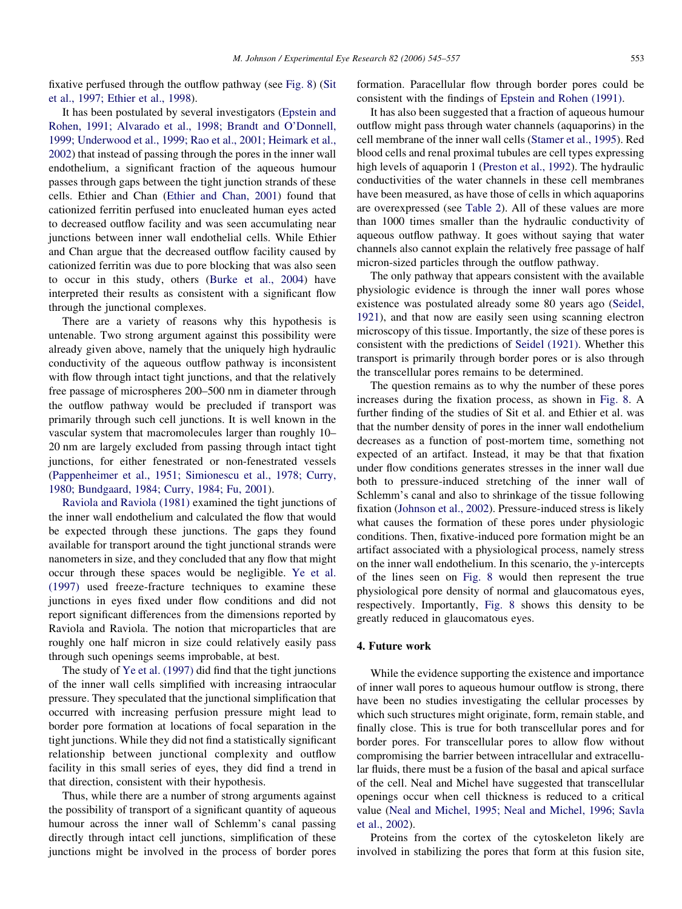fixative perfused through the outflow pathway (see [Fig. 8](#page-7-0)) [\(Sit](#page-12-0) [et al., 1997; Ethier et al., 1998\)](#page-12-0).

It has been postulated by several investigators [\(Epstein and](#page-10-0) [Rohen, 1991; Alvarado et al., 1998; Brandt and O'Donnell,](#page-10-0) [1999; Underwood et al., 1999; Rao et al., 2001; Heimark et al.,](#page-10-0) [2002](#page-10-0)) that instead of passing through the pores in the inner wall endothelium, a significant fraction of the aqueous humour passes through gaps between the tight junction strands of these cells. Ethier and Chan ([Ethier and Chan, 2001](#page-10-0)) found that cationized ferritin perfused into enucleated human eyes acted to decreased outflow facility and was seen accumulating near junctions between inner wall endothelial cells. While Ethier and Chan argue that the decreased outflow facility caused by cationized ferritin was due to pore blocking that was also seen to occur in this study, others [\(Burke et al., 2004](#page-10-0)) have interpreted their results as consistent with a significant flow through the junctional complexes.

There are a variety of reasons why this hypothesis is untenable. Two strong argument against this possibility were already given above, namely that the uniquely high hydraulic conductivity of the aqueous outflow pathway is inconsistent with flow through intact tight junctions, and that the relatively free passage of microspheres 200–500 nm in diameter through the outflow pathway would be precluded if transport was primarily through such cell junctions. It is well known in the vascular system that macromolecules larger than roughly 10– 20 nm are largely excluded from passing through intact tight junctions, for either fenestrated or non-fenestrated vessels ([Pappenheimer et al., 1951; Simionescu et al., 1978; Curry,](#page-11-0) [1980; Bundgaard, 1984; Curry, 1984; Fu, 2001\)](#page-11-0).

[Raviola and Raviola \(1981\)](#page-12-0) examined the tight junctions of the inner wall endothelium and calculated the flow that would be expected through these junctions. The gaps they found available for transport around the tight junctional strands were nanometers in size, and they concluded that any flow that might occur through these spaces would be negligible. [Ye et al.](#page-12-0) [\(1997\)](#page-12-0) used freeze-fracture techniques to examine these junctions in eyes fixed under flow conditions and did not report significant differences from the dimensions reported by Raviola and Raviola. The notion that microparticles that are roughly one half micron in size could relatively easily pass through such openings seems improbable, at best.

The study of [Ye et al. \(1997\)](#page-12-0) did find that the tight junctions of the inner wall cells simplified with increasing intraocular pressure. They speculated that the junctional simplification that occurred with increasing perfusion pressure might lead to border pore formation at locations of focal separation in the tight junctions. While they did not find a statistically significant relationship between junctional complexity and outflow facility in this small series of eyes, they did find a trend in that direction, consistent with their hypothesis.

Thus, while there are a number of strong arguments against the possibility of transport of a significant quantity of aqueous humour across the inner wall of Schlemm's canal passing directly through intact cell junctions, simplification of these junctions might be involved in the process of border pores

formation. Paracellular flow through border pores could be consistent with the findings of [Epstein and Rohen \(1991\)](#page-10-0).

It has also been suggested that a fraction of aqueous humour outflow might pass through water channels (aquaporins) in the cell membrane of the inner wall cells ([Stamer et al., 1995](#page-12-0)). Red blood cells and renal proximal tubules are cell types expressing high levels of aquaporin 1 ([Preston et al., 1992](#page-11-0)). The hydraulic conductivities of the water channels in these cell membranes have been measured, as have those of cells in which aquaporins are overexpressed (see [Table 2\)](#page-4-0). All of these values are more than 1000 times smaller than the hydraulic conductivity of aqueous outflow pathway. It goes without saying that water channels also cannot explain the relatively free passage of half micron-sized particles through the outflow pathway.

The only pathway that appears consistent with the available physiologic evidence is through the inner wall pores whose existence was postulated already some 80 years ago ([Seidel,](#page-12-0) [1921](#page-12-0)), and that now are easily seen using scanning electron microscopy of this tissue. Importantly, the size of these pores is consistent with the predictions of [Seidel \(1921\).](#page-12-0) Whether this transport is primarily through border pores or is also through the transcellular pores remains to be determined.

The question remains as to why the number of these pores increases during the fixation process, as shown in [Fig. 8.](#page-7-0) A further finding of the studies of Sit et al. and Ethier et al. was that the number density of pores in the inner wall endothelium decreases as a function of post-mortem time, something not expected of an artifact. Instead, it may be that that fixation under flow conditions generates stresses in the inner wall due both to pressure-induced stretching of the inner wall of Schlemm's canal and also to shrinkage of the tissue following fixation ([Johnson et al., 2002\)](#page-11-0). Pressure-induced stress is likely what causes the formation of these pores under physiologic conditions. Then, fixative-induced pore formation might be an artifact associated with a physiological process, namely stress on the inner wall endothelium. In this scenario, the y-intercepts of the lines seen on [Fig. 8](#page-7-0) would then represent the true physiological pore density of normal and glaucomatous eyes, respectively. Importantly, [Fig. 8](#page-7-0) shows this density to be greatly reduced in glaucomatous eyes.

### 4. Future work

While the evidence supporting the existence and importance of inner wall pores to aqueous humour outflow is strong, there have been no studies investigating the cellular processes by which such structures might originate, form, remain stable, and finally close. This is true for both transcellular pores and for border pores. For transcellular pores to allow flow without compromising the barrier between intracellular and extracellular fluids, there must be a fusion of the basal and apical surface of the cell. Neal and Michel have suggested that transcellular openings occur when cell thickness is reduced to a critical value ([Neal and Michel, 1995; Neal and Michel, 1996; Savla](#page-11-0) [et al., 2002\)](#page-11-0).

Proteins from the cortex of the cytoskeleton likely are involved in stabilizing the pores that form at this fusion site,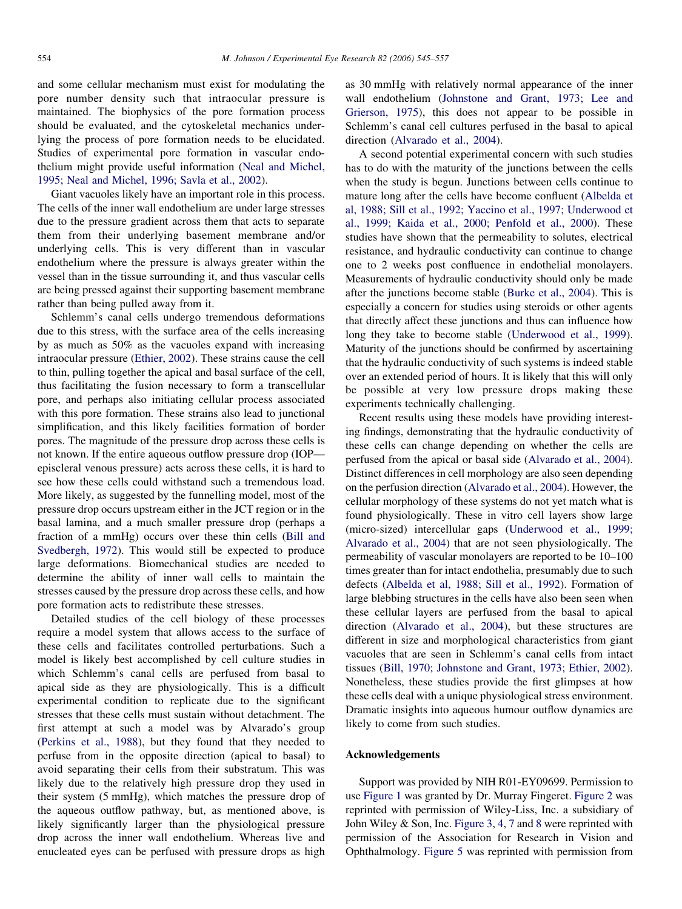and some cellular mechanism must exist for modulating the pore number density such that intraocular pressure is maintained. The biophysics of the pore formation process should be evaluated, and the cytoskeletal mechanics underlying the process of pore formation needs to be elucidated. Studies of experimental pore formation in vascular endothelium might provide useful information ([Neal and Michel,](#page-11-0) [1995; Neal and Michel, 1996; Savla et al., 2002](#page-11-0)).

Giant vacuoles likely have an important role in this process. The cells of the inner wall endothelium are under large stresses due to the pressure gradient across them that acts to separate them from their underlying basement membrane and/or underlying cells. This is very different than in vascular endothelium where the pressure is always greater within the vessel than in the tissue surrounding it, and thus vascular cells are being pressed against their supporting basement membrane rather than being pulled away from it.

Schlemm's canal cells undergo tremendous deformations due to this stress, with the surface area of the cells increasing by as much as 50% as the vacuoles expand with increasing intraocular pressure ([Ethier, 2002\)](#page-10-0). These strains cause the cell to thin, pulling together the apical and basal surface of the cell, thus facilitating the fusion necessary to form a transcellular pore, and perhaps also initiating cellular process associated with this pore formation. These strains also lead to junctional simplification, and this likely facilities formation of border pores. The magnitude of the pressure drop across these cells is not known. If the entire aqueous outflow pressure drop (IOP episcleral venous pressure) acts across these cells, it is hard to see how these cells could withstand such a tremendous load. More likely, as suggested by the funnelling model, most of the pressure drop occurs upstream either in the JCT region or in the basal lamina, and a much smaller pressure drop (perhaps a fraction of a mmHg) occurs over these thin cells ([Bill and](#page-10-0) [Svedbergh, 1972\)](#page-10-0). This would still be expected to produce large deformations. Biomechanical studies are needed to determine the ability of inner wall cells to maintain the stresses caused by the pressure drop across these cells, and how pore formation acts to redistribute these stresses.

Detailed studies of the cell biology of these processes require a model system that allows access to the surface of these cells and facilitates controlled perturbations. Such a model is likely best accomplished by cell culture studies in which Schlemm's canal cells are perfused from basal to apical side as they are physiologically. This is a difficult experimental condition to replicate due to the significant stresses that these cells must sustain without detachment. The first attempt at such a model was by Alvarado's group [\(Perkins et al., 1988\)](#page-11-0), but they found that they needed to perfuse from in the opposite direction (apical to basal) to avoid separating their cells from their substratum. This was likely due to the relatively high pressure drop they used in their system (5 mmHg), which matches the pressure drop of the aqueous outflow pathway, but, as mentioned above, is likely significantly larger than the physiological pressure drop across the inner wall endothelium. Whereas live and enucleated eyes can be perfused with pressure drops as high

as 30 mmHg with relatively normal appearance of the inner wall endothelium [\(Johnstone and Grant, 1973; Lee and](#page-11-0) [Grierson, 1975](#page-11-0)), this does not appear to be possible in Schlemm's canal cell cultures perfused in the basal to apical direction ([Alvarado et al., 2004](#page-10-0)).

A second potential experimental concern with such studies has to do with the maturity of the junctions between the cells when the study is begun. Junctions between cells continue to mature long after the cells have become confluent ([Albelda et](#page-10-0) [al, 1988; Sill et al., 1992; Yaccino et al., 1997; Underwood et](#page-10-0) [al., 1999; Kaida et al., 2000; Penfold et al., 2000](#page-10-0)). These studies have shown that the permeability to solutes, electrical resistance, and hydraulic conductivity can continue to change one to 2 weeks post confluence in endothelial monolayers. Measurements of hydraulic conductivity should only be made after the junctions become stable ([Burke et al., 2004](#page-10-0)). This is especially a concern for studies using steroids or other agents that directly affect these junctions and thus can influence how long they take to become stable ([Underwood et al., 1999\)](#page-12-0). Maturity of the junctions should be confirmed by ascertaining that the hydraulic conductivity of such systems is indeed stable over an extended period of hours. It is likely that this will only be possible at very low pressure drops making these experiments technically challenging.

Recent results using these models have providing interesting findings, demonstrating that the hydraulic conductivity of these cells can change depending on whether the cells are perfused from the apical or basal side [\(Alvarado et al., 2004\)](#page-10-0). Distinct differences in cell morphology are also seen depending on the perfusion direction ([Alvarado et al., 2004\)](#page-10-0). However, the cellular morphology of these systems do not yet match what is found physiologically. These in vitro cell layers show large (micro-sized) intercellular gaps ([Underwood et al., 1999;](#page-12-0) [Alvarado et al., 2004](#page-12-0)) that are not seen physiologically. The permeability of vascular monolayers are reported to be 10–100 times greater than for intact endothelia, presumably due to such defects [\(Albelda et al, 1988; Sill et al., 1992](#page-10-0)). Formation of large blebbing structures in the cells have also been seen when these cellular layers are perfused from the basal to apical direction [\(Alvarado et al., 2004\)](#page-10-0), but these structures are different in size and morphological characteristics from giant vacuoles that are seen in Schlemm's canal cells from intact tissues ([Bill, 1970; Johnstone and Grant, 1973; Ethier, 2002\)](#page-10-0). Nonetheless, these studies provide the first glimpses at how these cells deal with a unique physiological stress environment. Dramatic insights into aqueous humour outflow dynamics are likely to come from such studies.

## Acknowledgements

Support was provided by NIH R01-EY09699. Permission to use [Figure 1](#page-1-0) was granted by Dr. Murray Fingeret. [Figure 2](#page-2-0) was reprinted with permission of Wiley-Liss, Inc. a subsidiary of John Wiley & Son, Inc. [Figure 3](#page-2-0), [4,](#page-3-0) [7](#page-7-0) and [8](#page-7-0) were reprinted with permission of the Association for Research in Vision and Ophthalmology. [Figure 5](#page-5-0) was reprinted with permission from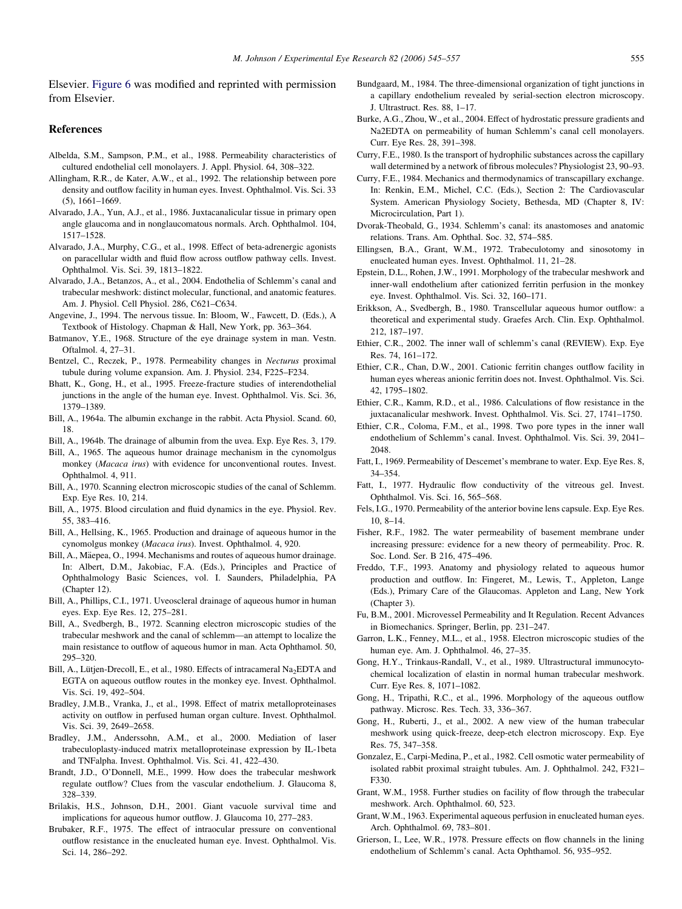<span id="page-10-0"></span>Elsevier. [Figure 6](#page-5-0) was modified and reprinted with permission from Elsevier.

#### References

- Albelda, S.M., Sampson, P.M., et al., 1988. Permeability characteristics of cultured endothelial cell monolayers. J. Appl. Physiol. 64, 308–322.
- Allingham, R.R., de Kater, A.W., et al., 1992. The relationship between pore density and outflow facility in human eyes. Invest. Ophthalmol. Vis. Sci. 33 (5), 1661–1669.
- Alvarado, J.A., Yun, A.J., et al., 1986. Juxtacanalicular tissue in primary open angle glaucoma and in nonglaucomatous normals. Arch. Ophthalmol. 104, 1517–1528.
- Alvarado, J.A., Murphy, C.G., et al., 1998. Effect of beta-adrenergic agonists on paracellular width and fluid flow across outflow pathway cells. Invest. Ophthalmol. Vis. Sci. 39, 1813–1822.
- Alvarado, J.A., Betanzos, A., et al., 2004. Endothelia of Schlemm's canal and trabecular meshwork: distinct molecular, functional, and anatomic features. Am. J. Physiol. Cell Physiol. 286, C621–C634.
- Angevine, J., 1994. The nervous tissue. In: Bloom, W., Fawcett, D. (Eds.), A Textbook of Histology. Chapman & Hall, New York, pp. 363–364.
- Batmanov, Y.E., 1968. Structure of the eye drainage system in man. Vestn. Oftalmol. 4, 27–31.
- Bentzel, C., Reczek, P., 1978. Permeability changes in Necturus proximal tubule during volume expansion. Am. J. Physiol. 234, F225–F234.
- Bhatt, K., Gong, H., et al., 1995. Freeze-fracture studies of interendothelial junctions in the angle of the human eye. Invest. Ophthalmol. Vis. Sci. 36, 1379–1389.
- Bill, A., 1964a. The albumin exchange in the rabbit. Acta Physiol. Scand. 60, 18.
- Bill, A., 1964b. The drainage of albumin from the uvea. Exp. Eye Res. 3, 179.
- Bill, A., 1965. The aqueous humor drainage mechanism in the cynomolgus monkey (Macaca irus) with evidence for unconventional routes. Invest. Ophthalmol. 4, 911.
- Bill, A., 1970. Scanning electron microscopic studies of the canal of Schlemm. Exp. Eye Res. 10, 214.
- Bill, A., 1975. Blood circulation and fluid dynamics in the eye. Physiol. Rev. 55, 383–416.
- Bill, A., Hellsing, K., 1965. Production and drainage of aqueous humor in the cynomolgus monkey (Macaca irus). Invest. Ophthalmol. 4, 920.
- Bill, A., Mäepea, O., 1994. Mechanisms and routes of aqueous humor drainage. In: Albert, D.M., Jakobiac, F.A. (Eds.), Principles and Practice of Ophthalmology Basic Sciences, vol. I. Saunders, Philadelphia, PA (Chapter 12).
- Bill, A., Phillips, C.I., 1971. Uveoscleral drainage of aqueous humor in human eyes. Exp. Eye Res. 12, 275–281.
- Bill, A., Svedbergh, B., 1972. Scanning electron microscopic studies of the trabecular meshwork and the canal of schlemm—an attempt to localize the main resistance to outflow of aqueous humor in man. Acta Ophthamol. 50, 295–320.
- Bill, A., Lütjen-Drecoll, E., et al., 1980. Effects of intracameral Na<sub>2</sub>EDTA and EGTA on aqueous outflow routes in the monkey eye. Invest. Ophthalmol. Vis. Sci. 19, 492–504.
- Bradley, J.M.B., Vranka, J., et al., 1998. Effect of matrix metalloproteinases activity on outflow in perfused human organ culture. Invest. Ophthalmol. Vis. Sci. 39, 2649–2658.
- Bradley, J.M., Anderssohn, A.M., et al., 2000. Mediation of laser trabeculoplasty-induced matrix metalloproteinase expression by IL-1beta and TNFalpha. Invest. Ophthalmol. Vis. Sci. 41, 422–430.
- Brandt, J.D., O'Donnell, M.E., 1999. How does the trabecular meshwork regulate outflow? Clues from the vascular endothelium. J. Glaucoma 8, 328–339.
- Brilakis, H.S., Johnson, D.H., 2001. Giant vacuole survival time and implications for aqueous humor outflow. J. Glaucoma 10, 277–283.
- Brubaker, R.F., 1975. The effect of intraocular pressure on conventional outflow resistance in the enucleated human eye. Invest. Ophthalmol. Vis. Sci. 14, 286–292.
- Bundgaard, M., 1984. The three-dimensional organization of tight junctions in a capillary endothelium revealed by serial-section electron microscopy. J. Ultrastruct. Res. 88, 1–17.
- Burke, A.G., Zhou, W., et al., 2004. Effect of hydrostatic pressure gradients and Na2EDTA on permeability of human Schlemm's canal cell monolayers. Curr. Eye Res. 28, 391–398.
- Curry, F.E., 1980. Is the transport of hydrophilic substances across the capillary wall determined by a network of fibrous molecules? Physiologist 23, 90–93.
- Curry, F.E., 1984. Mechanics and thermodynamics of transcapillary exchange. In: Renkin, E.M., Michel, C.C. (Eds.), Section 2: The Cardiovascular System. American Physiology Society, Bethesda, MD (Chapter 8, IV: Microcirculation, Part 1).
- Dvorak-Theobald, G., 1934. Schlemm's canal: its anastomoses and anatomic relations. Trans. Am. Ophthal. Soc. 32, 574–585.
- Ellingsen, B.A., Grant, W.M., 1972. Trabeculotomy and sinosotomy in enucleated human eyes. Invest. Ophthalmol. 11, 21–28.
- Epstein, D.L., Rohen, J.W., 1991. Morphology of the trabecular meshwork and inner-wall endothelium after cationized ferritin perfusion in the monkey eye. Invest. Ophthalmol. Vis. Sci. 32, 160–171.
- Erikkson, A., Svedbergh, B., 1980. Transcellular aqueous humor outflow: a theoretical and experimental study. Graefes Arch. Clin. Exp. Ophthalmol. 212, 187–197.
- Ethier, C.R., 2002. The inner wall of schlemm's canal (REVIEW). Exp. Eye Res. 74, 161–172.
- Ethier, C.R., Chan, D.W., 2001. Cationic ferritin changes outflow facility in human eyes whereas anionic ferritin does not. Invest. Ophthalmol. Vis. Sci. 42, 1795–1802.
- Ethier, C.R., Kamm, R.D., et al., 1986. Calculations of flow resistance in the juxtacanalicular meshwork. Invest. Ophthalmol. Vis. Sci. 27, 1741–1750.
- Ethier, C.R., Coloma, F.M., et al., 1998. Two pore types in the inner wall endothelium of Schlemm's canal. Invest. Ophthalmol. Vis. Sci. 39, 2041– 2048.
- Fatt, I., 1969. Permeability of Descemet's membrane to water. Exp. Eye Res. 8, 34–354.
- Fatt, I., 1977. Hydraulic flow conductivity of the vitreous gel. Invest. Ophthalmol. Vis. Sci. 16, 565–568.
- Fels, I.G., 1970. Permeability of the anterior bovine lens capsule. Exp. Eye Res. 10, 8–14.
- Fisher, R.F., 1982. The water permeability of basement membrane under increasing pressure: evidence for a new theory of permeability. Proc. R. Soc. Lond. Ser. B 216, 475–496.
- Freddo, T.F., 1993. Anatomy and physiology related to aqueous humor production and outflow. In: Fingeret, M., Lewis, T., Appleton, Lange (Eds.), Primary Care of the Glaucomas. Appleton and Lang, New York (Chapter 3).
- Fu, B.M., 2001. Microvessel Permeability and It Regulation. Recent Advances in Biomechanics. Springer, Berlin, pp. 231–247.
- Garron, L.K., Fenney, M.L., et al., 1958. Electron microscopic studies of the human eye. Am. J. Ophthalmol. 46, 27–35.
- Gong, H.Y., Trinkaus-Randall, V., et al., 1989. Ultrastructural immunocytochemical localization of elastin in normal human trabecular meshwork. Curr. Eye Res. 8, 1071–1082.
- Gong, H., Tripathi, R.C., et al., 1996. Morphology of the aqueous outflow pathway. Microsc. Res. Tech. 33, 336–367.
- Gong, H., Ruberti, J., et al., 2002. A new view of the human trabecular meshwork using quick-freeze, deep-etch electron microscopy. Exp. Eye Res. 75, 347–358.
- Gonzalez, E., Carpi-Medina, P., et al., 1982. Cell osmotic water permeability of isolated rabbit proximal straight tubules. Am. J. Ophthalmol. 242, F321– F330.
- Grant, W.M., 1958. Further studies on facility of flow through the trabecular meshwork. Arch. Ophthalmol. 60, 523.
- Grant, W.M., 1963. Experimental aqueous perfusion in enucleated human eyes. Arch. Ophthalmol. 69, 783–801.
- Grierson, I., Lee, W.R., 1978. Pressure effects on flow channels in the lining endothelium of Schlemm's canal. Acta Ophthamol. 56, 935–952.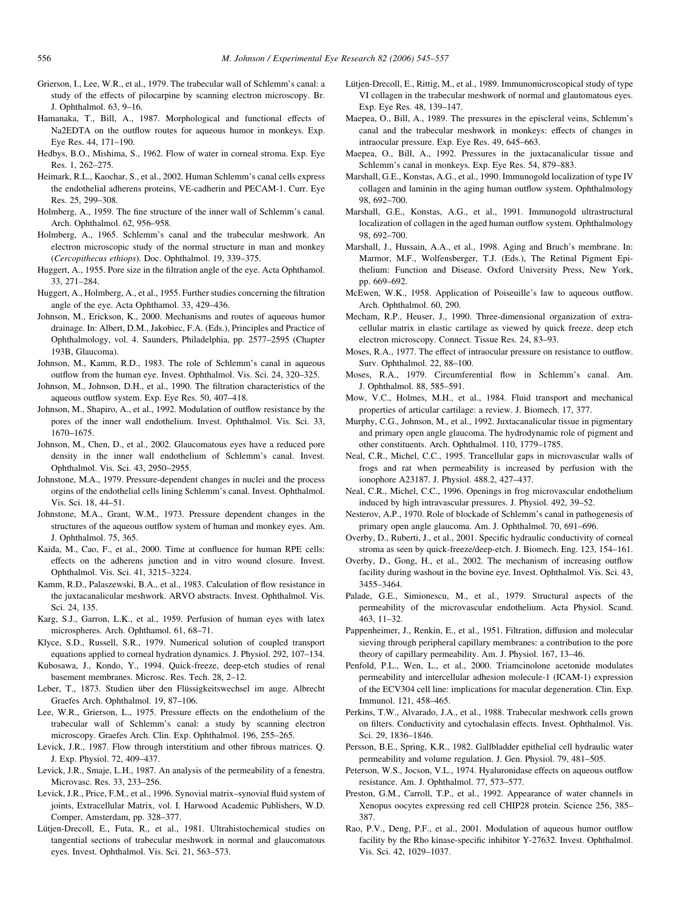- <span id="page-11-0"></span>Grierson, I., Lee, W.R., et al., 1979. The trabecular wall of Schlemm's canal: a study of the effects of pilocarpine by scanning electron microscopy. Br. J. Ophthalmol. 63, 9–16.
- Hamanaka, T., Bill, A., 1987. Morphological and functional effects of Na2EDTA on the outflow routes for aqueous humor in monkeys. Exp. Eye Res. 44, 171–190.
- Hedbys, B.O., Mishima, S., 1962. Flow of water in corneal stroma. Exp. Eye Res. 1, 262–275.
- Heimark, R.L., Kaochar, S., et al., 2002. Human Schlemm's canal cells express the endothelial adherens proteins, VE-cadherin and PECAM-1. Curr. Eye Res. 25, 299–308.
- Holmberg, A., 1959. The fine structure of the inner wall of Schlemm's canal. Arch. Ophthalmol. 62, 956–958.
- Holmberg, A., 1965. Schlemm's canal and the trabecular meshwork. An electron microscopic study of the normal structure in man and monkey (Cercopithecus ethiops). Doc. Ophthalmol. 19, 339–375.
- Huggert, A., 1955. Pore size in the filtration angle of the eye. Acta Ophthamol. 33, 271–284.
- Huggert, A., Holmberg, A., et al., 1955. Further studies concerning the filtration angle of the eye. Acta Ophthamol. 33, 429–436.
- Johnson, M., Erickson, K., 2000. Mechanisms and routes of aqueous humor drainage. In: Albert, D.M., Jakobiec, F.A. (Eds.), Principles and Practice of Ophthalmology, vol. 4. Saunders, Philadelphia, pp. 2577–2595 (Chapter 193B, Glaucoma).
- Johnson, M., Kamm, R.D., 1983. The role of Schlemm's canal in aqueous outflow from the human eye. Invest. Ophthalmol. Vis. Sci. 24, 320–325.
- Johnson, M., Johnson, D.H., et al., 1990. The filtration characteristics of the aqueous outflow system. Exp. Eye Res. 50, 407–418.
- Johnson, M., Shapiro, A., et al., 1992. Modulation of outflow resistance by the pores of the inner wall endothelium. Invest. Ophthalmol. Vis. Sci. 33, 1670–1675.
- Johnson, M., Chen, D., et al., 2002. Glaucomatous eyes have a reduced pore density in the inner wall endothelium of Schlemm's canal. Invest. Ophthalmol. Vis. Sci. 43, 2950–2955.
- Johnstone, M.A., 1979. Pressure-dependent changes in nuclei and the process orgins of the endothelial cells lining Schlemm's canal. Invest. Ophthalmol. Vis. Sci. 18, 44–51.
- Johnstone, M.A., Grant, W.M., 1973. Pressure dependent changes in the structures of the aqueous outflow system of human and monkey eyes. Am. J. Ophthalmol. 75, 365.
- Kaida, M., Cao, F., et al., 2000. Time at confluence for human RPE cells: effects on the adherens junction and in vitro wound closure. Invest. Ophthalmol. Vis. Sci. 41, 3215–3224.
- Kamm, R.D., Palaszewski, B.A., et al., 1983. Calculation of flow resistance in the juxtacanalicular meshwork. ARVO abstracts. Invest. Ophthalmol. Vis. Sci. 24, 135.
- Karg, S.J., Garron, L.K., et al., 1959. Perfusion of human eyes with latex microspheres. Arch. Ophthamol. 61, 68–71.
- Klyce, S.D., Russell, S.R., 1979. Numerical solution of coupled transport equations applied to corneal hydration dynamics. J. Physiol. 292, 107–134.
- Kubosawa, J., Kondo, Y., 1994. Quick-freeze, deep-etch studies of renal basement membranes. Microsc. Res. Tech. 28, 2–12.
- Leber, T., 1873. Studien über den Flüssigkeitswechsel im auge. Albrecht Graefes Arch. Ophthalmol. 19, 87–106.
- Lee, W.R., Grierson, L., 1975. Pressure effects on the endothelium of the trabecular wall of Schlemm's canal: a study by scanning electron microscopy. Graefes Arch. Clin. Exp. Ophthalmol. 196, 255–265.
- Levick, J.R., 1987. Flow through interstitium and other fibrous matrices. Q. J. Exp. Physiol. 72, 409–437.
- Levick, J.R., Smaje, L.H., 1987. An analysis of the permeability of a fenestra. Microvasc. Res. 33, 233–256.
- Levick, J.R., Price, F.M., et al., 1996. Synovial matrix–synovial fluid system of joints, Extracellular Matrix, vol. I. Harwood Academic Publishers, W.D. Comper, Amsterdam, pp. 328–377.
- Lütjen-Drecoll, E., Futa, R., et al., 1981. Ultrahistochemical studies on tangential sections of trabecular meshwork in normal and glaucomatous eyes. Invest. Ophthalmol. Vis. Sci. 21, 563–573.
- Lütjen-Drecoll, E., Rittig, M., et al., 1989. Immunomicroscopical study of type VI collagen in the trabecular meshwork of normal and glautomatous eyes. Exp. Eye Res. 48, 139–147.
- Maepea, O., Bill, A., 1989. The pressures in the episcleral veins, Schlemm's canal and the trabecular meshwork in monkeys: effects of changes in intraocular pressure. Exp. Eye Res. 49, 645–663.
- Maepea, O., Bill, A., 1992. Pressures in the juxtacanalicular tissue and Schlemm's canal in monkeys. Exp. Eye Res. 54, 879–883.
- Marshall, G.E., Konstas, A.G., et al., 1990. Immunogold localization of type IV collagen and laminin in the aging human outflow system. Ophthalmology 98, 692–700.
- Marshall, G.E., Konstas, A.G., et al., 1991. Immunogold ultrastructural localization of collagen in the aged human outflow system. Ophthalmology 98, 692–700.
- Marshall, J., Hussain, A.A., et al., 1998. Aging and Bruch's membrane. In: Marmor, M.F., Wolfensberger, T.J. (Eds.), The Retinal Pigment Epithelium: Function and Disease. Oxford University Press, New York, pp. 669–692.
- McEwen, W.K., 1958. Application of Poiseuille's law to aqueous outflow. Arch. Ophthalmol. 60, 290.
- Mecham, R.P., Heuser, J., 1990. Three-dimensional organization of extracellular matrix in elastic cartilage as viewed by quick freeze, deep etch electron microscopy. Connect. Tissue Res. 24, 83–93.
- Moses, R.A., 1977. The effect of intraocular pressure on resistance to outflow. Surv. Ophthalmol. 22, 88–100.
- Moses, R.A., 1979. Circumferential flow in Schlemm's canal. Am. J. Ophthalmol. 88, 585–591.
- Mow, V.C., Holmes, M.H., et al., 1984. Fluid transport and mechanical properties of articular cartilage: a review. J. Biomech. 17, 377.
- Murphy, C.G., Johnson, M., et al., 1992. Juxtacanalicular tissue in pigmentary and primary open angle glaucoma. The hydrodynamic role of pigment and other constituents. Arch. Ophthalmol. 110, 1779–1785.
- Neal, C.R., Michel, C.C., 1995. Trancellular gaps in microvascular walls of frogs and rat when permeability is increased by perfusion with the ionophore A23187. J. Physiol. 488.2, 427–437.
- Neal, C.R., Michel, C.C., 1996. Openings in frog microvascular endothelium induced by high intravascular pressures. J. Physiol. 492, 39–52.
- Nesterov, A.P., 1970. Role of blockade of Schlemm's canal in pathogenesis of primary open angle glaucoma. Am. J. Ophthalmol. 70, 691–696.
- Overby, D., Ruberti, J., et al., 2001. Specific hydraulic conductivity of corneal stroma as seen by quick-freeze/deep-etch. J. Biomech. Eng. 123, 154–161.
- Overby, D., Gong, H., et al., 2002. The mechanism of increasing outflow facility during washout in the bovine eye. Invest. Ophthalmol. Vis. Sci. 43, 3455–3464.
- Palade, G.E., Simionescu, M., et al., 1979. Structural aspects of the permeability of the microvascular endothelium. Acta Physiol. Scand. 463, 11–32.
- Pappenheimer, J., Renkin, E., et al., 1951. Filtration, diffusion and molecular sieving through peripheral capillary membranes: a contribution to the pore theory of capillary permeability. Am. J. Physiol. 167, 13–46.
- Penfold, P.L., Wen, L., et al., 2000. Triamcinolone acetonide modulates permeability and intercellular adhesion molecule-1 (ICAM-1) expression of the ECV304 cell line: implications for macular degeneration. Clin. Exp. Immunol. 121, 458–465.
- Perkins, T.W., Alvarado, J.A., et al., 1988. Trabecular meshwork cells grown on filters. Conductivity and cytochalasin effects. Invest. Ophthalmol. Vis. Sci. 29, 1836–1846.
- Persson, B.E., Spring, K.R., 1982. Gallbladder epithelial cell hydraulic water permeability and volume regulation. J. Gen. Physiol. 79, 481–505.
- Peterson, W.S., Jocson, V.L., 1974. Hyaluronidase effects on aqueous outflow resistance. Am. J. Ophthalmol. 77, 573–577.
- Preston, G.M., Carroll, T.P., et al., 1992. Appearance of water channels in Xenopus oocytes expressing red cell CHIP28 protein. Science 256, 385– 387.
- Rao, P.V., Deng, P.F., et al., 2001. Modulation of aqueous humor outflow facility by the Rho kinase-specific inhibitor Y-27632. Invest. Ophthalmol. Vis. Sci. 42, 1029–1037.